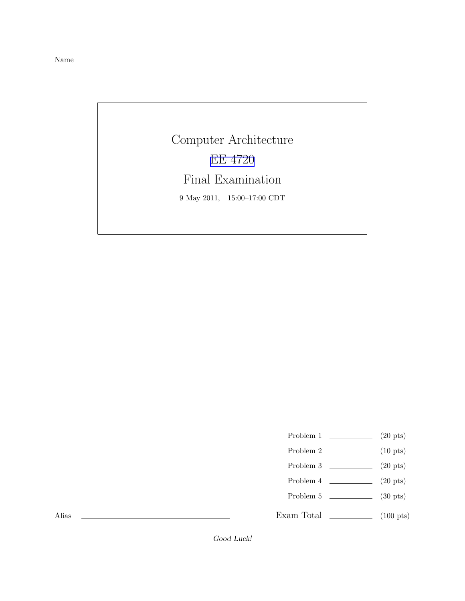Name

Computer Architecture [EE 4720](http://www.ece.lsu.edu/ee4720/) Final Examination 9 May 2011, 15:00–17:00 CDT

Problem 1  $\qquad \qquad$  (20 pts)

- Problem  $2 \t(10 \text{ pts})$
- Problem 3  $\qquad \qquad (20 \text{ pts})$
- Problem 4  $\qquad \qquad (20 \text{ pts})$
- Problem 5 (30 pts)

Exam Total \_\_\_\_\_\_\_\_\_\_\_\_\_ (100 pts)

Alias

Good Luck!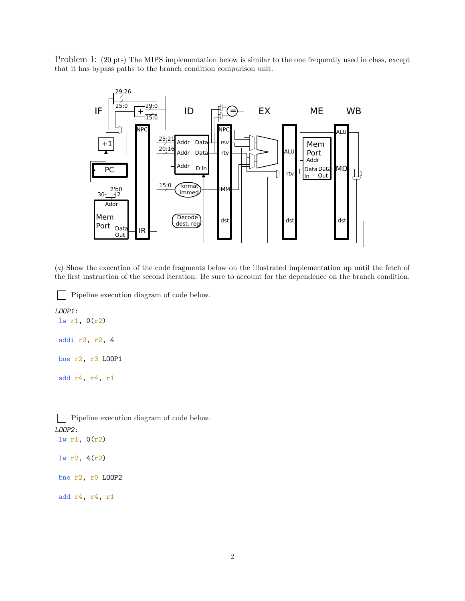Problem 1: (20 pts) The MIPS implementation below is similar to the one frequently used in class, except that it has bypass paths to the branch condition comparison unit.



(*a*) Show the execution of the code fragments below on the illustrated implementation up until the fetch of the first instruction of the second iteration. Be sure to account for the dependence on the branch condition.

Pipeline execution diagram of code below.

```
LOOP1:
lw r1, 0(r2)
addi r2, r2, 4
 bne r2, r3 LOOP1
 add r4, r4, r1
```
 $\mathbf{L}$ 

Pipeline execution diagram of code below. LOOP2: lw r1, 0(r2)

lw r2, 4(r2)

bne r2, r0 LOOP2

add r4, r4, r1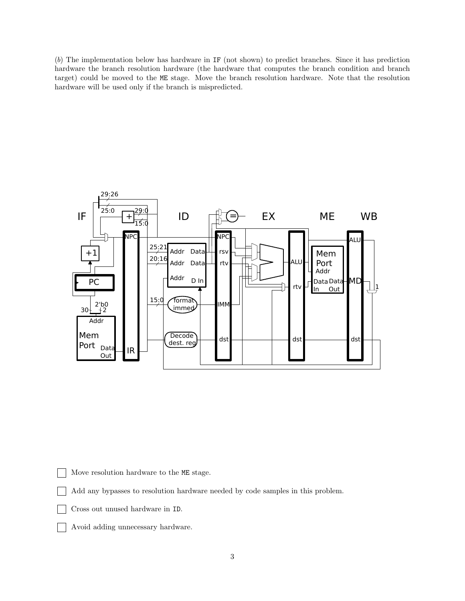(*b*) The implementation below has hardware in IF (not shown) to predict branches. Since it has prediction hardware the branch resolution hardware (the hardware that computes the branch condition and branch target) could be moved to the ME stage. Move the branch resolution hardware. Note that the resolution hardware will be used only if the branch is mispredicted.



Move resolution hardware to the ME stage.

Add any bypasses to resolution hardware needed by code samples in this problem.

- Cross out unused hardware in ID.
- Avoid adding unnecessary hardware.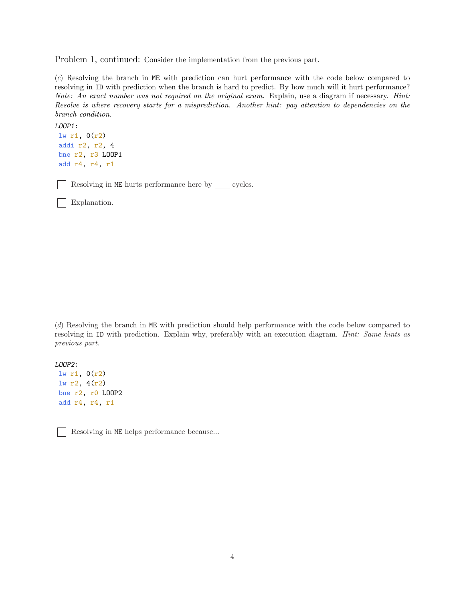Problem 1, continued: Consider the implementation from the previous part.

(*c*) Resolving the branch in ME with prediction can hurt performance with the code below compared to resolving in ID with prediction when the branch is hard to predict. By how much will it hurt performance? *Note: An exact number was not required on the original exam.* Explain, use a diagram if necessary. *Hint: Resolve is where recovery starts for a misprediction. Another hint: pay attention to dependencies on the branch condition.*

```
LOOP1:
lw r1, 0(r2)
addi r2, r2, 4
bne r2, r3 LOOP1
add r4, r4, r1
```
Resolving in  $\texttt{ME}$  hurts performance here by \_\_\_\_ cycles.

Explanation.

(*d*) Resolving the branch in ME with prediction should help performance with the code below compared to resolving in ID with prediction. Explain why, preferably with an execution diagram. *Hint: Same hints as previous part.*

LOOP2: lw r1, 0(r2) lw r2, 4(r2) bne r2, r0 LOOP2 add r4, r4, r1

Resolving in ME helps performance because...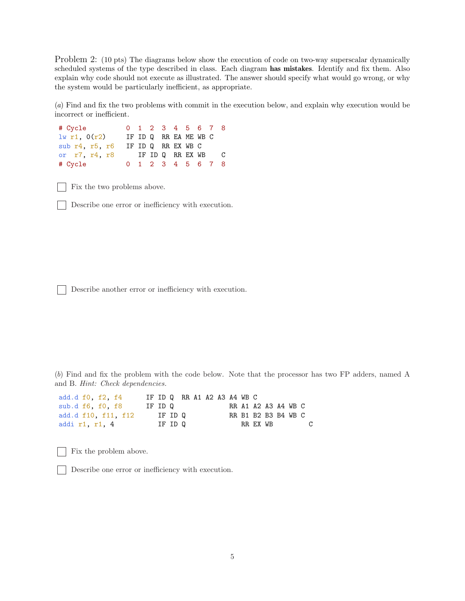Problem 2: (10 pts) The diagrams below show the execution of code on two-way superscalar dynamically scheduled systems of the type described in class. Each diagram has mistakes. Identify and fix them. Also explain why code should not execute as illustrated. The answer should specify what would go wrong, or why the system would be particularly inefficient, as appropriate.

(*a*) Find and fix the two problems with commit in the execution below, and explain why execution would be incorrect or inefficient.

# Cycle 0 1 2 3 4 5 6 7 8  $lw$  r1,  $O(r2)$  IF ID Q RR EA ME WB C sub r4, r5, r6 IF ID Q RR EX WB C or r7, r4, r8 IF ID Q RR EX WB C # Cycle 0 1 2 3 4 5 6 7 8

Fix the two problems above.

Describe one error or inefficiency with execution.

Describe another error or inefficiency with execution.

(*b*) Find and fix the problem with the code below. Note that the processor has two FP adders, named A and B. *Hint: Check dependencies.*

| add.d f0, f2, f4    |         |         |  |  | IF ID Q RR A1 A2 A3 A4 WB C |  |  |   |
|---------------------|---------|---------|--|--|-----------------------------|--|--|---|
| sub.d f6, f0, f8    | IF ID Q |         |  |  | RR A1 A2 A3 A4 WB C         |  |  |   |
| add.d f10. f11. f12 |         | IF ID Q |  |  | RR B1 B2 B3 B4 WB C         |  |  |   |
| addi r1, r1, 4      |         | IF ID 0 |  |  | RR EX WB                    |  |  | C |

Fix the problem above.

Describe one error or inefficiency with execution.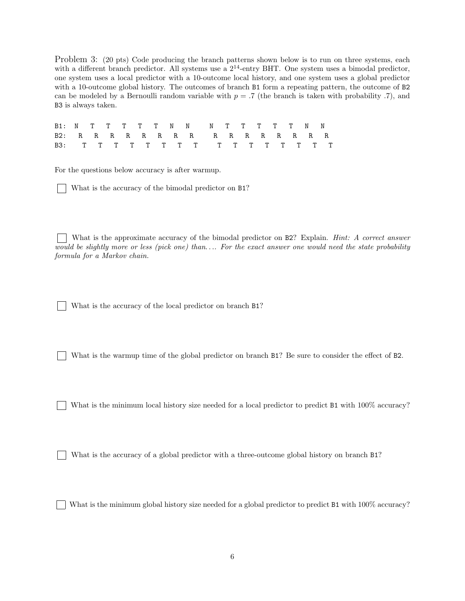Problem 3: (20 pts) Code producing the branch patterns shown below is to run on three systems, each with a different branch predictor. All systems use a  $2^{14}$ -entry BHT. One system uses a bimodal predictor. one system uses a local predictor with a 10-outcome local history, and one system uses a global predictor with a 10-outcome global history. The outcomes of branch B1 form a repeating pattern, the outcome of B2 can be modeled by a Bernoulli random variable with  $p = 0.7$  (the branch is taken with probability .7), and B3 is always taken.

|  |  |  |  | B1: N T T T T T N N N N T T T T N N |  |  |  |  |  |
|--|--|--|--|-------------------------------------|--|--|--|--|--|
|  |  |  |  | B2: RRRRRRRRRRRRRRRRR               |  |  |  |  |  |
|  |  |  |  |                                     |  |  |  |  |  |

For the questions below accuracy is after warmup.

What is the accuracy of the bimodal predictor on B1?

What is the approximate accuracy of the bimodal predictor on B2? Explain. *Hint: A correct answer would be slightly more or less (pick one) than*. . .*. For the exact answer one would need the state probability formula for a Markov chain.*

What is the accuracy of the local predictor on branch B1?

What is the warmup time of the global predictor on branch  $B1$ ? Be sure to consider the effect of B2.

What is the minimum local history size needed for a local predictor to predict B1 with  $100\%$  accuracy?

What is the accuracy of a global predictor with a three-outcome global history on branch  $B1$ ?

What is the minimum global history size needed for a global predictor to predict B1 with  $100\%$  accuracy?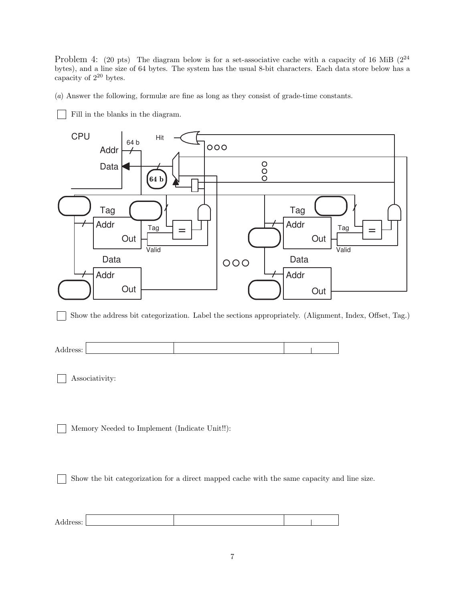Problem 4: (20 pts) The diagram below is for a set-associative cache with a capacity of 16 MiB  $(2^{24}$ bytes), and a line size of 64 bytes. The system has the usual 8-bit characters. Each data store below has a capacity of  $2^{20}$  bytes.

(*a*) Answer the following, formulæ are fine as long as they consist of grade-time constants.

Fill in the blanks in the diagram.



Show the address bit categorization. Label the sections appropriately. (Alignment, Index, Offset, Tag.)  $\mathbf{L}$ 

Associativity:

Memory Needed to Implement (Indicate Unit!!):

Show the bit categorization for a direct mapped cache with the same capacity and line size.

| . . |  |  |
|-----|--|--|
|     |  |  |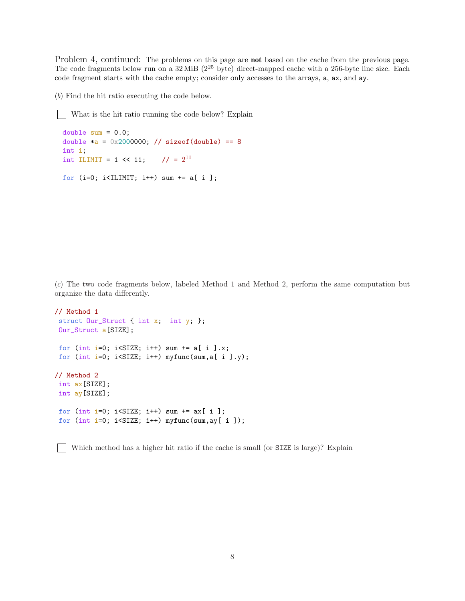Problem 4, continued: The problems on this page are **not** based on the cache from the previous page. The code fragments below run on a  $32 \text{ MiB}$  ( $2^{25}$  byte) direct-mapped cache with a 256-byte line size. Each code fragment starts with the cache empty; consider only accesses to the arrays, a, ax, and ay.

(*b*) Find the hit ratio executing the code below.

What is the hit ratio running the code below? Explain

```
double sum = 0.0;
double a = 0x2000000; // sizeof(double) == 8
int i;
int ILIMIT = 1 << 11; // = 2^{11}for (i=0; i<ILIMIT; i++) sum += a[ i ];
```
(*c*) The two code fragments below, labeled Method 1 and Method 2, perform the same computation but organize the data differently.

```
// Method 1
struct Our_Struct { int x; int y; };
Our_Struct a[SIZE];
for (int i=0; i<SIZE; i++) sum += a[i] .x;for (int i=0; i<SIZE; i++) myfunc(sum, a[ i ].y);
// Method 2
int ax[SIZE];
int ay[SIZE];
for (int i=0; i<SIZE; i++) sum += ax[i];
for (int i=0; i<SIZE; i++) myfunc(sum,ay[ i ]);
```
Which method has a higher hit ratio if the cache is small (or SIZE is large)? Explain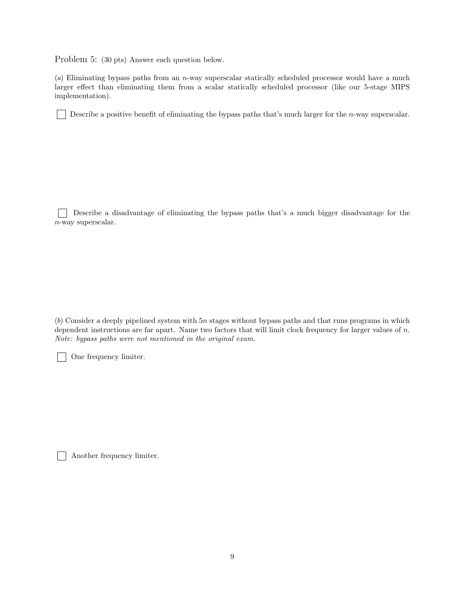Problem 5: (30 pts) Answer each question below.

(*a*) Eliminating bypass paths from an n-way superscalar statically scheduled processor would have a much larger effect than eliminating them from a scalar statically scheduled processor (like our 5-stage MIPS implementation).

Describe a positive benefit of eliminating the bypass paths that's much larger for the *n*-way superscalar.

Г Describe a disadvantage of eliminating the bypass paths that's a much bigger disadvantage for the n-way superscalar.

(*b*) Consider a deeply pipelined system with 5n stages without bypass paths and that runs programs in which dependent instructions are far apart. Name two factors that will limit clock frequency for larger values of n. *Note: bypass paths were not mentioned in the original exam.*

One frequency limiter.

Another frequency limiter.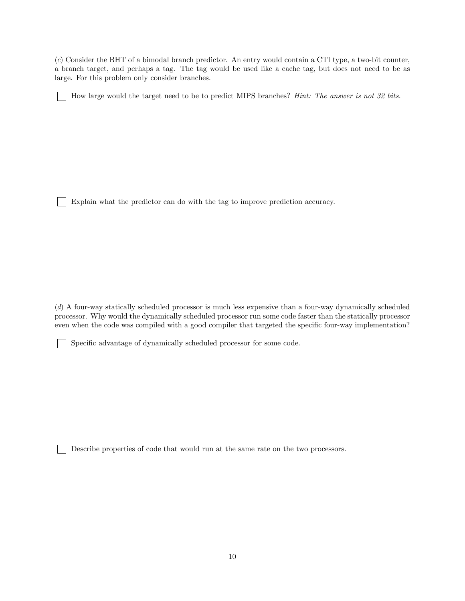(*c*) Consider the BHT of a bimodal branch predictor. An entry would contain a CTI type, a two-bit counter, a branch target, and perhaps a tag. The tag would be used like a cache tag, but does not need to be as large. For this problem only consider branches.

How large would the target need to be to predict MIPS branches? *Hint: The answer is not 32 bits.*

Explain what the predictor can do with the tag to improve prediction accuracy.

(*d*) A four-way statically scheduled processor is much less expensive than a four-way dynamically scheduled processor. Why would the dynamically scheduled processor run some code faster than the statically processor even when the code was compiled with a good compiler that targeted the specific four-way implementation?

Specific advantage of dynamically scheduled processor for some code.

Describe properties of code that would run at the same rate on the two processors.